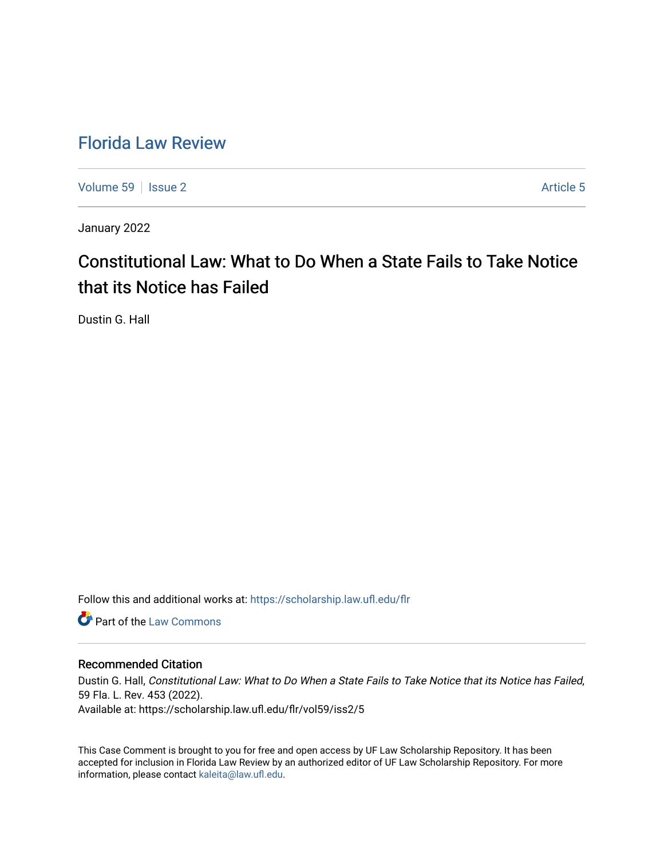## [Florida Law Review](https://scholarship.law.ufl.edu/flr)

[Volume 59](https://scholarship.law.ufl.edu/flr/vol59) | [Issue 2](https://scholarship.law.ufl.edu/flr/vol59/iss2) Article 5

January 2022

# Constitutional Law: What to Do When a State Fails to Take Notice that its Notice has Failed

Dustin G. Hall

Follow this and additional works at: [https://scholarship.law.ufl.edu/flr](https://scholarship.law.ufl.edu/flr?utm_source=scholarship.law.ufl.edu%2Fflr%2Fvol59%2Fiss2%2F5&utm_medium=PDF&utm_campaign=PDFCoverPages)

**C** Part of the [Law Commons](http://network.bepress.com/hgg/discipline/578?utm_source=scholarship.law.ufl.edu%2Fflr%2Fvol59%2Fiss2%2F5&utm_medium=PDF&utm_campaign=PDFCoverPages)

## Recommended Citation

Dustin G. Hall, Constitutional Law: What to Do When a State Fails to Take Notice that its Notice has Failed, 59 Fla. L. Rev. 453 (2022). Available at: https://scholarship.law.ufl.edu/flr/vol59/iss2/5

This Case Comment is brought to you for free and open access by UF Law Scholarship Repository. It has been accepted for inclusion in Florida Law Review by an authorized editor of UF Law Scholarship Repository. For more information, please contact [kaleita@law.ufl.edu.](mailto:kaleita@law.ufl.edu)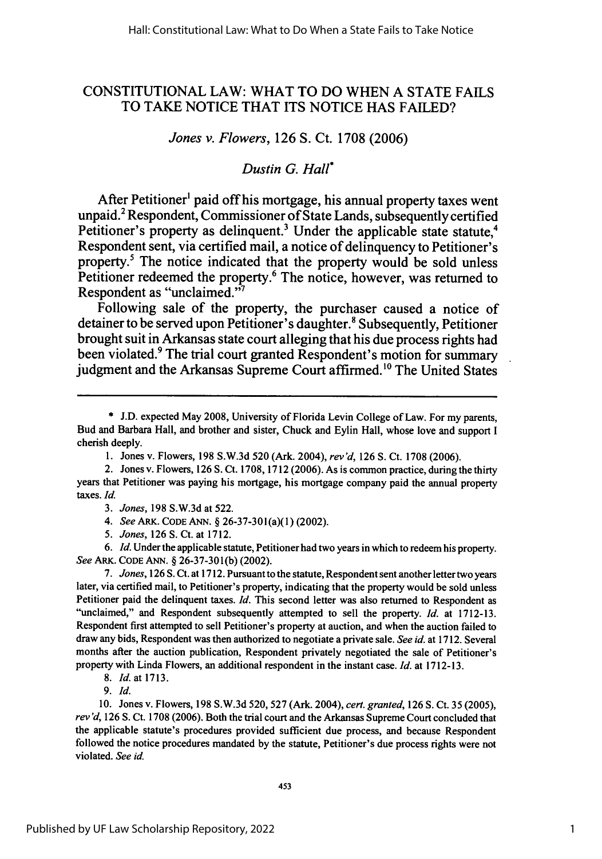## **CONSTITUTIONAL** LAW: WHAT TO **DO WHEN A STATE FAILS** TO TAKE NOTICE THAT **ITS NOTICE HAS FAILED?**

### *Jones v. Flowers,* **126 S.** Ct. **1708 (2006)**

## *Dustin G. Hall\**

After Petitioner' paid off his mortgage, his annual property taxes went unpaid.<sup>2</sup> Respondent, Commissioner of State Lands, subsequently certified Petitioner's property as delinquent.<sup>3</sup> Under the applicable state statute,<sup>4</sup> Respondent sent, via certified mail, a notice of delinquency to Petitioner's property.<sup>5</sup> The notice indicated that the property would be sold unless Petitioner redeemed the property.<sup>6</sup> The notice, however, was returned to Respondent as "unclaimed."

Following sale of the property, the purchaser caused a notice of detainer to be served upon Petitioner's daughter.<sup>8</sup> Subsequently, Petitioner brought suit in Arkansas state court alleging that his due process rights had been violated.9 The trial court granted Respondent's motion for summary judgment and the Arkansas Supreme Court affirmed.<sup>10</sup> The United States

- *4. See* ARK. **CODE ANN.** § 26-37-301(a)(1) (2002).
- *5. Jones,* 126 **S.** Ct. at 1712.

*6. Id.* Under the applicable statute, Petitioner had two years in which to redeem his property. *See* ARK. CODE ANN. § 26-37-301(b) (2002).

*7. Jones,* **126 S.** Ct. at 1712. Pursuant to the statute, Respondent sent another letter two years later, via certified mail, to Petitioner's property, indicating that the property would be sold unless Petitioner paid the delinquent taxes. *Id.* This second letter was also returned to Respondent as "unclaimed," and Respondent subsequently attempted to sell the property. *Id.* at **1712-13.** Respondent first attempted to sell Petitioner's property at auction, and when the auction failed to draw any bids, Respondent was then authorized to negotiate a private sale. *See id.* at **1712.** Several months after the auction publication, Respondent privately negotiated the sale of Petitioner's property with Linda Flowers, an additional respondent in the instant case. *Id.* at 1712-13.

*8. Id.* at **1713.**

*9. Id.*

**10.** Jones v. Flowers, **198** S.W.3d 520, **527** (Ark. 2004), *cert. granted,* 126 **S.** Ct. **35** (2005), *rev'd,* **126 S.** Ct. **1708** (2006). Both the trial court and the Arkansas Supreme Court concluded that the applicable statute's procedures provided sufficient due process, and because Respondent followed the notice procedures mandated **by** the statute, Petitioner's due process rights were not violated. *See id.*

<sup>\*</sup> J.D. expected May 2008, University of Florida Levin College of Law. For my parents, Bud and Barbara Hall, and brother and sister, Chuck and Eylin Hall, whose love and support I cherish deeply.

<sup>1.</sup> Jones v. Flowers, 198 S.W.3d 520 (Ark. 2004), *rev'd,* 126 S. Ct. 1708 (2006).

<sup>2.</sup> Jones v. Flowers, 126 S. Ct. 1708, 1712 (2006). As is common practice, during the thirty years that Petitioner was paying his mortgage, his mortgage company paid the annual property taxes. *Id.*

*<sup>3.</sup> Jones,* 198 S.W.3d at 522.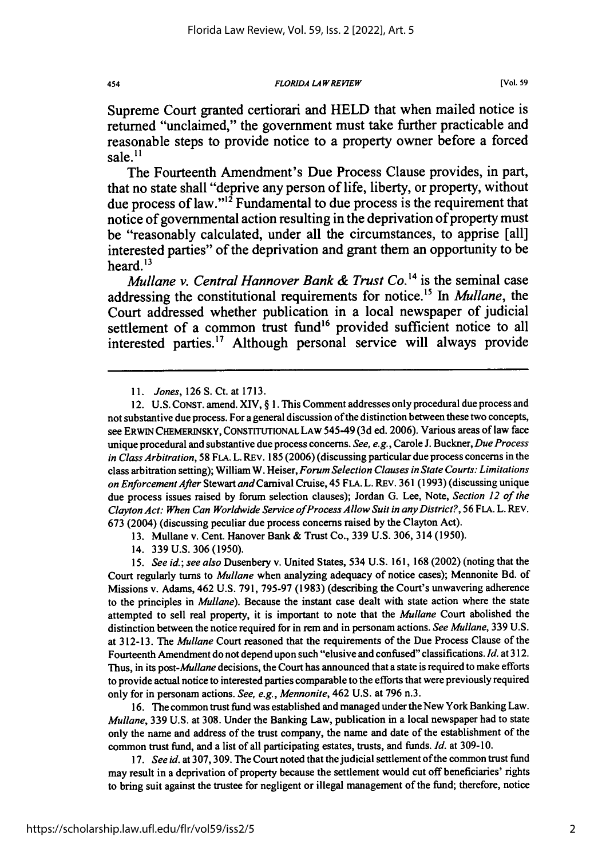**454 FLORIDA LAW REVIEW CONSUMITY EXAMPLE 1999 (Vol. 59 CONSUMITY CONSUMITY** 

Supreme Court granted certiorari and **HELD** that when mailed notice is returned "unclaimed," the government must take further practicable and reasonable steps to provide notice to a property owner before a forced sale. $^{11}$ 

The Fourteenth Amendment's Due Process Clause provides, in part, that no state shall "deprive any person of life, liberty, or property, without due process of law." $\frac{1}{2}$  Fundamental to due process is the requirement that notice of governmental action resulting in the deprivation of property must be "reasonably calculated, under all the circumstances, to apprise [all] interested parties" of the deprivation and grant them an opportunity to be heard. $13$ 

*Mullane v. Central Hannover Bank & Trust Co.'4* is the seminal case addressing the constitutional requirements for notice.'5 In *Mullane,* the Court addressed whether publication in a local newspaper of judicial settlement of a common trust fund<sup>16</sup> provided sufficient notice to all interested parties.<sup>17</sup> Although personal service will always provide

15. See id.; see also Dusenbery v. United States, 534 U.S. 161, 168 (2002) (noting that the Court regularly turns to *Mullane* when analyzing adequacy of notice cases); Mennonite Bd. of Missions v. Adams, 462 U.S. 791, 795-97 (1983) (describing the Court's unwavering adherence to the principles in Mullane). Because the instant case dealt with state action where the state attempted to sell real property, it is important to note that the *Mullane* Court abolished the distinction between the notice required for in rem and in personam actions. *See Mullane,* 339 U.S. at 312-13. The *Mullane* Court reasoned that the requirements of the Due Process Clause of the Fourteenth Amendment do not depend upon such "elusive and confused" classifications. *Id.* at 312. Thus, in its post-*Mullane* decisions, the Court has announced that a state is required to make efforts to provide actual notice to interested parties comparable to the efforts that were previously required only for in personam actions. *See, e.g., Mennonite,* 462 U.S. at 796 n.3.

16. The common trust fund was established and managed under the New York Banking Law. *Mullane,* 339 U.S. at 308. Under the Banking Law, publication in a local newspaper had to state only the name and address of the trust company, the name and date of the establishment of the common trust fund, and a list of all participating estates, trusts, and funds. *Id.* at 309-10.

*17. See id.* at 307, 309. The Court noted that the judicial settlement of the common trust fund may result in a deprivation of property because the settlement would cut off beneficiaries' rights to bring suit against the trustee for negligent or illegal management of the fund; therefore, notice

*<sup>11.</sup>* Jones, 126 S. Ct. at 1713.

<sup>12.</sup> U.S. CONST. amend. XIV, § 1. This Comment addresses only procedural due process and not substantive due process. For a general discussion of the distinction between these two concepts, see ERWIN CHEMERINSKY, CONSTITUTIONAL LAW 545-49 (3d ed. 2006). Various areas of law face unique procedural and substantive due process concerns. *See, e.g.,* Carole J. Buckner, *Due Process* in Class Arbitration, 58 FLA. L. REV. 185 (2006) (discussing particular due process concerns in the class arbitration setting); William W. Heiser, *Forum Selection Clauses in State Courts: Limitations on Enforcement After* Stewart and Carnival Cruise, 45 FLA. L. REV. 361 (1993) (discussing unique due process issues raised by forum selection clauses); Jordan G. Lee, Note, *Section 12 of the* Clayton Act: When Can Worldwide Service of Process Allow Suit in any *District?,* 56 FLA. L. REV. 673 (2004) (discussing peculiar due process concerns raised by the Clayton Act).

<sup>13.</sup> Mullane v. Cent. Hanover Bank & Trust Co., 339 U.S. 306, 314 (1950).

<sup>14. 339</sup> U.S. 306 (1950).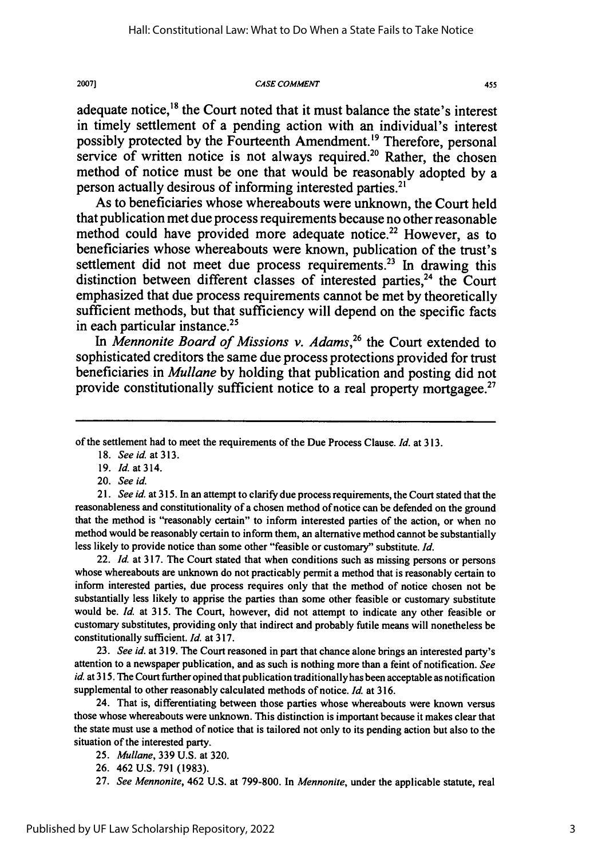#### *CASE* **COMMENT**

adequate notice,<sup>18</sup> the Court noted that it must balance the state's interest in timely settlement of a pending action with an individual's interest possibly protected by the Fourteenth Amendment.<sup>19</sup> Therefore, personal service of written notice is not always required.<sup>20</sup> Rather, the chosen method of notice must be one that would be reasonably adopted **by** a person actually desirous of informing interested parties.<sup>21</sup>

As to beneficiaries whose whereabouts were unknown, the Court held that publication met due process requirements because no other reasonable method could have provided more adequate notice.<sup>22</sup> However, as to beneficiaries whose whereabouts were known, publication of the trust's settlement did not meet due process requirements.<sup>23</sup> In drawing this distinction between different classes of interested parties, $24$  the Court emphasized that due process requirements cannot be met **by** theoretically sufficient methods, but that sufficiency will depend on the specific facts in each particular instance. $2<sup>5</sup>$ 

*In Mennonite Board of Missions v. Adams,26* the Court extended to sophisticated creditors the same due process protections provided for trust beneficiaries in *Mullane* **by** holding that publication and posting did not provide constitutionally sufficient notice to a real property mortgagee.<sup>27</sup>

of the settlement had to meet the requirements of the Due Process Clause. *Id.* at 313.

- 19. *Id.* at 314.
- 20. *See id.*

*21. See id.* at 315. In an attempt to clarify due process requirements, the Court stated that the reasonableness and constitutionality of a chosen method of notice can be defended on the ground that the method is "reasonably certain" to inform interested parties of the action, or when no method would be reasonably certain to inform them, an alternative method cannot be substantially less likely to provide notice than some other "feasible or customary" substitute. *Id.*

22. *Id.* at **317.** The Court stated that when conditions such as missing persons or persons whose whereabouts are unknown do not practicably permit a method that is reasonably certain to inform interested parties, due process requires only that the method of notice chosen not be substantially less likely to apprise the parties than some other feasible or customary substitute would be. *Id.* at **315.** The Court, however, did not attempt to indicate any other feasible or customary substitutes, providing only that indirect and probably futile means will nonetheless be constitutionally sufficient. *Id.* at **317.**

**23.** *See id.* at **319.** The Court reasoned in part that chance alone brings an interested party's attention to a newspaper publication, and as such is nothing more than a feint of notification. *See id.* at **315.** The Court further opined that publication traditionally has been acceptable as notification supplemental to other reasonably calculated methods of notice. *Id.* at **316.**

24. That is, differentiating between those parties whose whereabouts were known versus those whose whereabouts were unknown. This distinction is important because it makes clear that the state must use a method of notice that is tailored not only to its pending action but also to the situation of the interested party.

*25. Mullane,* **339 U.S.** at **320.**

**26.** 462 **U.S. 791 (1983).**

**27.** *See Mennonite,* 462 **U.S.** at **799-800.** In *Mennonite,* under the applicable statute, real

<sup>18.</sup> *See id.* at **313.**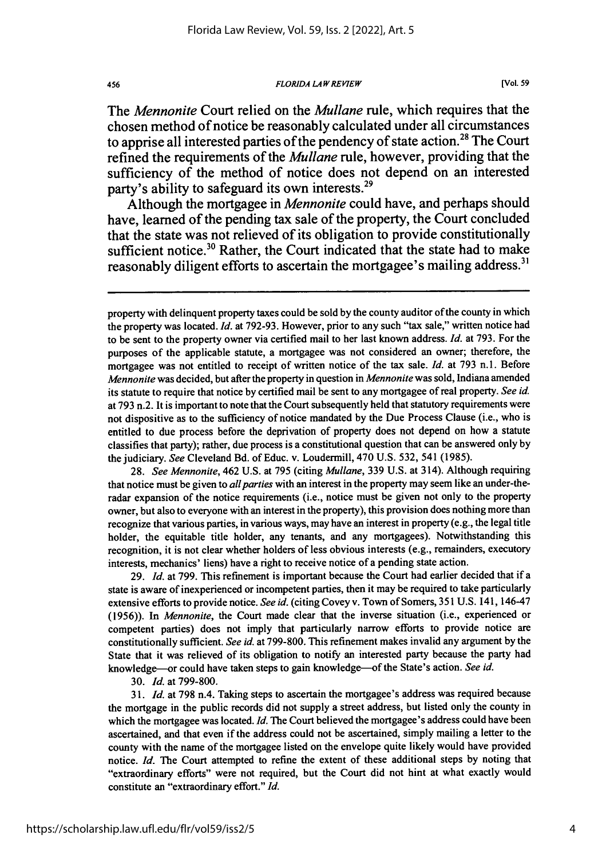*FLORIDA LAW REVIEW*

The *Mennonite* Court relied on the *Mullane* rule, which requires that the chosen method of notice be reasonably calculated under all circumstances to apprise all interested parties of the pendency of state action.<sup>28</sup> The Court refined the requirements of the *Mullane* rule, however, providing that the sufficiency of the method of notice does not depend on an interested party's ability to safeguard its own interests.<sup>29</sup>

Although the mortgagee in *Mennonite* could have, and perhaps should have, learned of the pending tax sale of the property, the Court concluded that the state was not relieved of its obligation to provide constitutionally sufficient notice.<sup>30</sup> Rather, the Court indicated that the state had to make reasonably diligent efforts to ascertain the mortgagee's mailing address.<sup>31</sup>

property with delinquent property taxes could be sold by the county auditor of the county in which the property was located. *Id.* at 792-93. However, prior to any such "tax sale," written notice had to be sent to the property owner via certified mail to her last known address. *Id.* at 793. For the purposes of the applicable statute, a mortgagee was not considered an owner; therefore, the mortgagee was not entitled to receipt of written notice of the tax sale. *Id.* at 793 n.1. Before *Mennonite* was decided, but after the property in question in *Mennonite* was sold, Indiana amended its statute to require that notice by certified mail be sent to any mortgagee of real property. *See id.* at 793 n.2. It is important to note that the Court subsequently held that statutory requirements were not dispositive as to the sufficiency of notice mandated by the Due Process Clause (i.e., who is entitled to due process before the deprivation of property does not depend on how a statute classifies that party); rather, due process is a constitutional question that can be answered only by the judiciary. *See* Cleveland Bd. of Educ. v. Loudermill, 470 U.S. 532, 541 (1985).

28. *See Mennonite,* 462 U.S. at 795 (citing *Mullane,* 339 U.S. at 314). Although requiring that notice must be given to *allparties* with an interest in the property may seem like an under-theradar expansion of the notice requirements (i.e., notice must be given not only to the property owner, but also to everyone with an interest in the property), this provision does nothing more than recognize that various parties, in various ways, may have an interest in property (e.g., the legal title holder, the equitable title holder, any tenants, and any mortgagees). Notwithstanding this recognition, it is not clear whether holders of less obvious interests (e.g., remainders, executory interests, mechanics' liens) have a right to receive notice of a pending state action.

29. *Id.* at 799. This refinement is important because the Court had earlier decided that if a state is aware of inexperienced or incompetent parties, then it may be required to take particularly extensive efforts to provide notice. *See id.* (citing Covey v. Town of Somers, 351 U.S. 141, 146-47 (1956)). In *Mennonite,* the Court made clear that the inverse situation (i.e., experienced or competent parties) does not imply that particularly narrow efforts to provide notice are constitutionally sufficient. *See id.* at 799-800. This refinement makes invalid any argument by the State that it was relieved of its obligation to notify an interested party because the party had knowledge-or could have taken steps to gain knowledge-of the State's action. *See id.*

30. *Id.* at 799-800.

*31. Id.* at 798 n.4. Taking steps to ascertain the mortgagee's address was required because the mortgage in the public records did not supply a street address, but listed only the county in which the mortgagee was located. *Id*. The Court believed the mortgagee's address could have been ascertained, and that even if the address could not be ascertained, simply mailing a letter to the county with the name of the mortgagee listed on the envelope quite likely would have provided notice. *Id.* The Court attempted to refine the extent of these additional steps by noting that "extraordinary efforts" were not required, but the Court did not hint at what exactly would constitute an "extraordinary effort." *Id.*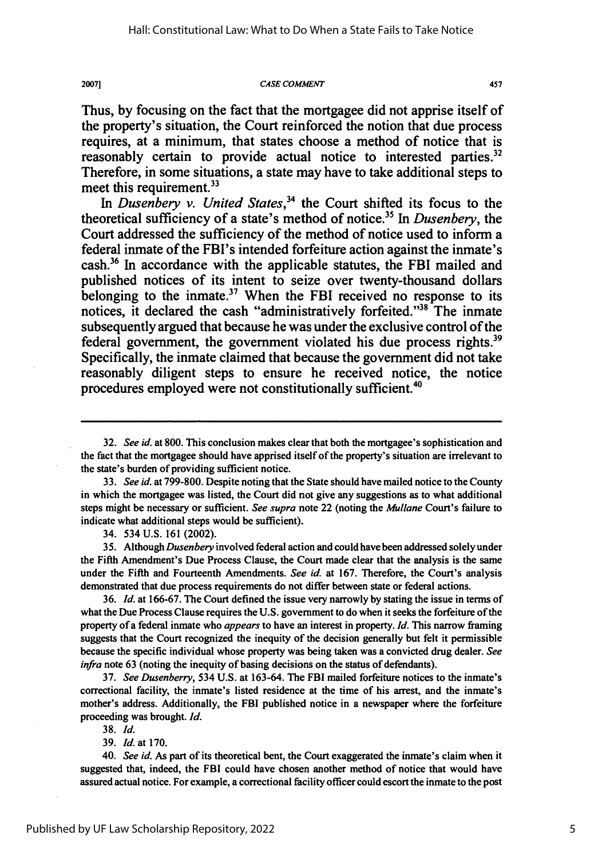2007]

#### *CASE COMMENT*

457

Thus, **by** focusing on the fact that the mortgagee did not apprise itself of the property's situation, the Court reinforced the notion that due process requires, at a minimum, that states choose a method of notice that is reasonably certain to provide actual notice to interested parties.<sup>32</sup> Therefore, in some situations, a state may have to take additional steps to meet this requirement.<sup>33</sup>

In *Dusenbery v. United States*,<sup>34</sup> the Court shifted its focus to the theoretical sufficiency of a state's method of notice. 35 In *Dusenbery,* the Court addressed the sufficiency of the method of notice used to inform a federal inmate of the FBI's intended forfeiture action against the inmate's cash.36 In accordance with the applicable statutes, the FBI mailed and published notices of its intent to seize over twenty-thousand dollars belonging to the inmate.<sup>37</sup> When the FBI received no response to its notices, it declared the cash "administratively forfeited."<sup>38</sup> The inmate subsequently argued that because he was under the exclusive control of the federal government, the government violated his due process rights.<sup>39</sup> Specifically, the inmate claimed that because the government did not take reasonably diligent steps to ensure he received notice, the notice procedures employed were not constitutionally sufficient."

32. *See id.* at 800. This conclusion makes clear that both the mortgagee's sophistication and the fact that the mortgagee should have apprised itself of the property's situation are irrelevant to the state's burden of providing sufficient notice.

**33.** *See id.* at 799-800. Despite noting that the State should have mailed notice to the County in which the mortgagee was listed, the Court did not give any suggestions as to what additional steps might be necessary or sufficient. *See supra* note 22 (noting the *Mullane* Court's failure to indicate what additional steps would be sufficient).

34. 534 **U.S. 161** (2002).

**35.** Although *Dusenbery* involved federal action and could have been addressed solely under the Fifth Amendment's Due Process Clause, the Court made clear that the analysis is the same under the Fifth and Fourteenth Amendments. *See* id. at **167.** Therefore, the Court's analysis demonstrated that due process requirements do not differ between state or federal actions.

36. *Id.* at 166-67. The Court defined the issue very narrowly **by** stating the issue in terms of what the Due Process Clause requires the U.S. government to do when it seeks the forfeiture of the property of a federal inmate who *appears* to have an interest in property. *Id.* This narrow framing suggests that the Court recognized the inequity of the decision generally but felt it permissible because the specific individual whose property was being taken was a convicted drug dealer. *See infra* note 63 (noting the inequity of basing decisions on the status of defendants).

37. *See Dusenberry,* 534 U.S. at 163-64. The FBI mailed forfeiture notices to the inmate's correctional facility, the inmate's listed residence at the time of his arrest, and the inmate's mother's address. Additionally, the FBI published notice in a newspaper where the forfeiture proceeding was brought. *Id.*

**38.** *Id.*

39. *Id.* at 170.

40. *See id.* As part of its theoretical bent, the Court exaggerated the inmate's claim when it suggested that, indeed, the FBI could have chosen another method of notice that would have assured actual notice. For example, a correctional facility officer could escort the inmate to the post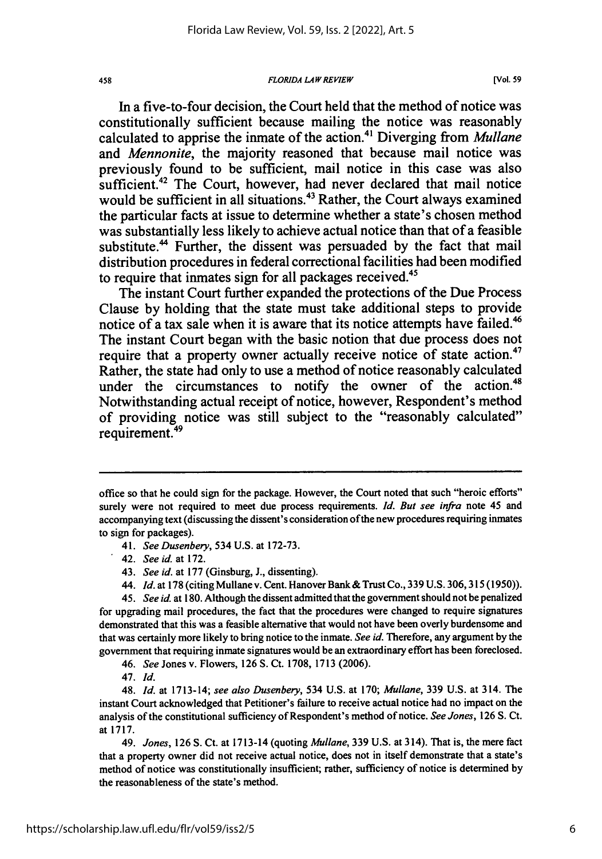#### *FLORIDA LAW REVIEW*

**[Vol. 59**

In a five-to-four decision, the Court held that the method of notice was constitutionally sufficient because mailing the notice was reasonably calculated to apprise the inmate of the action.4' Diverging from *Mullane* and *Mennonite,* the majority reasoned that because mail notice was previously found to be sufficient, mail notice in this case was also sufficient.<sup>42</sup> The Court, however, had never declared that mail notice would be sufficient in all situations.<sup>43</sup> Rather, the Court always examined the particular facts at issue to determine whether a state's chosen method was substantially less likely to achieve actual notice than that of a feasible substitute.<sup>44</sup> Further, the dissent was persuaded by the fact that mail distribution procedures in federal correctional facilities had been modified to require that inmates sign for all packages received.<sup>45</sup>

The instant Court further expanded the protections of the Due Process Clause **by** holding that the state must take additional steps to provide notice of a tax sale when it is aware that its notice attempts have failed.<sup>46</sup> The instant Court began with the basic notion that due process does not require that a property owner actually receive notice of state action.<sup>47</sup> Rather, the state had only to use a method of notice reasonably calculated under the circumstances to notify the owner of the action.<sup>48</sup> Notwithstanding actual receipt of notice, however, Respondent's method of providing notice was still subject to the "reasonably calculated" requirement.<sup>49</sup>

- 41. *See Dusenbery,* 534 U.S. at 172-73.
- 42. *See id.* at 172.
- 43. *See id.* at 177 (Ginsburg, **J.,** dissenting).
- 44. *Id.* at **178** (citing Mullane v. Cent. Hanover Bank **&** Trust Co., 339 **U.S.** 306,315 (1950)).

*45. See id.* at 180. Although the dissent admitted that the government should not be penalized for upgrading mail procedures, the fact that the procedures were changed to require signatures demonstrated that this was a feasible alternative that would not have been overly burdensome and that was certainly more likely to bring notice to the inmate. *See id.* Therefore, any argument by the government that requiring inmate signatures would be an extraordinary effort has been foreclosed.

*46. See* Jones v. Flowers, 126 **S.** Ct. 1708, 1713 (2006).

47. *Id.*

48. *Id.* at 1713-14; *see also Dusenbery,* 534 U.S. at 170; *Mullane,* 339 U.S. at 314. The instant Court acknowledged that Petitioner's failure to receive actual notice had no impact on the analysis of the constitutional sufficiency of Respondent's method of notice. *See Jones,* 126 S. Ct. at 1717.

49. *Jones,* 126 S. Ct. at 1713-14 (quoting *Mullane,* 339 U.S. at 314). That is, the mere fact that a property owner did not receive actual notice, does not in itself demonstrate that a state's method of notice was constitutionally insufficient; rather, sufficiency of notice is determined by the reasonableness of the state's method.

office so that he could sign for the package. However, the Court noted that such "heroic efforts" surely were not required to meet due process requirements. *Id. But* see infra note 45 and accompanying text (discussing the dissent's consideration of the new procedures requiring inmates to sign for packages).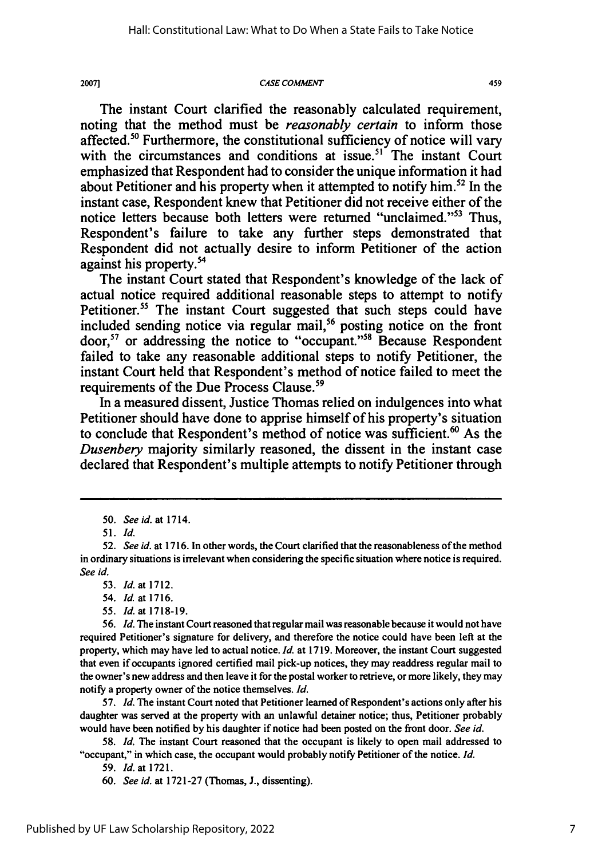#### **CASE COMMENT**

459

The instant Court clarified the reasonably calculated requirement, noting that the method must be *reasonably certain* to inform those affected.<sup>50</sup> Furthermore, the constitutional sufficiency of notice will vary with the circumstances and conditions at issue.<sup>51</sup> The instant Court emphasized that Respondent had to consider the unique information it had about Petitioner and his property when it attempted to notify him.<sup>52</sup> In the instant case, Respondent knew that Petitioner did not receive either of the notice letters because both letters were returned "unclaimed."53 Thus, Respondent's failure to take any further steps demonstrated that Respondent did not actually desire to inform Petitioner of the action against his property.<sup>54</sup>

The instant Court stated that Respondent's knowledge of the lack of actual notice required additional reasonable steps to attempt to notify Petitioner.<sup>55</sup> The instant Court suggested that such steps could have included sending notice via regular mail,<sup>56</sup> posting notice on the front door,<sup>57</sup> or addressing the notice to "occupant."<sup>58</sup> Because Respondent failed to take any reasonable additional steps to notify Petitioner, the instant Court held that Respondent's method of notice failed to meet the requirements of the Due Process Clause.<sup>59</sup>

In a measured dissent, Justice Thomas relied on indulgences into what Petitioner should have done to apprise himself of his property's situation to conclude that Respondent's method of notice was sufficient.<sup>60</sup> As the *Dusenbery* majority similarly reasoned, the dissent in the instant case declared that Respondent's multiple attempts to notify Petitioner through

*55. Id.* at 1718-19.

*56. Id.* The instant Court reasoned that regular mail was reasonable because it would not have required Petitioner's signature for delivery, and therefore the notice could have been left at the property, which may have led to actual notice. *Id.* at 1719. Moreover, the instant Court suggested that even if occupants ignored certified mail pick-up notices, they may readdress regular mail to the owner's new address and then leave it for the postal worker to retrieve, or more likely, they may notify a property owner of the notice themselves. *Id.*

57. *Id.* The instant Court noted that Petitioner learned of Respondent's actions only after his daughter was served at the property with an unlawful detainer notice; thus, Petitioner probably would have been notified by his daughter if notice had been posted on the front door. *See id.*

58. *Id.* The instant Court reasoned that the occupant is likely to open mail addressed to "occupant," in which case, the occupant would probably notify Petitioner of the notice. *Id.*

59. *Id.* at 1721.

60. *See id.* at 1721-27 (Thomas, J., dissenting).

*<sup>50.</sup> See id.* at 1714.

**<sup>51.</sup>** *Id.*

*<sup>52.</sup> See id.* at **1716.** In other words, the Court clarified that the reasonableness of the method in ordinary situations is irrelevant when considering the specific situation where notice is required. *See id.*

<sup>53.</sup> *Id.* at 1712.

<sup>54.</sup> *Id.* at 1716.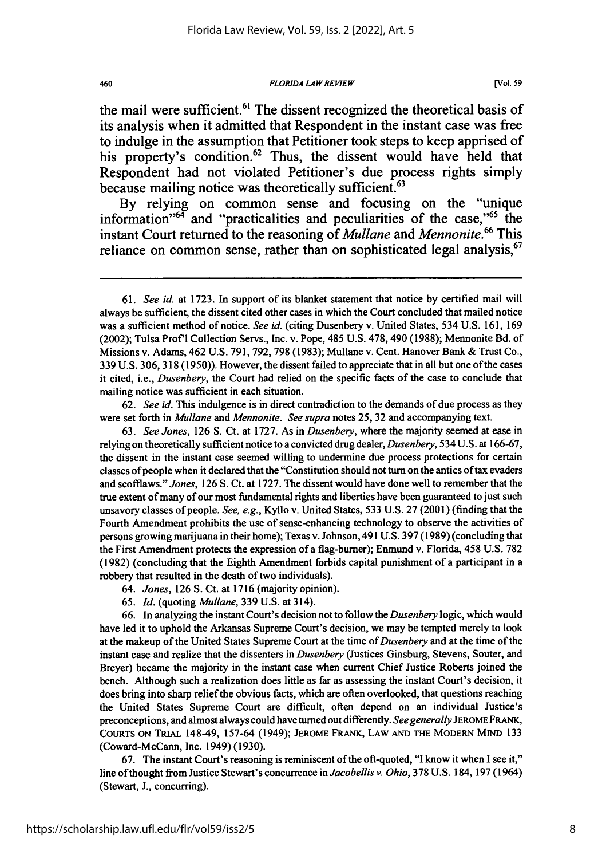*FLORIDA LAW REVIEW*

the mail were sufficient.<sup>61</sup> The dissent recognized the theoretical basis of its analysis when it admitted that Respondent in the instant case was free to indulge in the assumption that Petitioner took steps to keep apprised of his property's condition. $62$  Thus, the dissent would have held that Respondent had not violated Petitioner's due process rights simply because mailing notice was theoretically sufficient.<sup>63</sup>

**By** relying on common sense and focusing on the "unique information<sup> $n^{64}$ </sup> and "practicalities and peculiarities of the case,"<sup>65</sup> the instant Court returned to the reasoning of *Mullane* and *Mennonite.66* This reliance on common sense, rather than on sophisticated legal analysis,  $67$ 

62. *See id.* This indulgence is in direct contradiction to the demands of due process as they were set forth in *Mullane and Mennonite. See supra* notes 25, 32 and accompanying text.

63. *See Jones,* 126 **S.** Ct. at 1727. As in *Dusenbery,* where the majority seemed at ease in relying on theoretically sufficient notice to a convicted drug dealer, *Dusenbery,* 534 U.S. at 166-67, the dissent in the instant case seemed willing to undermine due process protections for certain classes of people when it declared that the "Constitution should not turn on the antics of tax evaders and scofflaws." *Jones,* 126 **S.** Ct. at 1727. The dissent would have done well to remember that the true extent of many of our most fundamental rights and liberties have been guaranteed to just such unsavory classes of people. *See, e.g.,* Kyllo v. United States, 533 U.S. 27 (2001) (finding that the Fourth Amendment prohibits the use of sense-enhancing technology to observe the activities of persons growing marijuana in their home); Texas v. Johnson, 491 U.S. 397 (1989) (concluding that the First Amendment protects the expression of a flag-burner); Enmund v. Florida, 458 U.S. 782 (1982) (concluding that the Eighth Amendment forbids capital punishment of a participant in a robbery that resulted in the death of two individuals).

- *64. Jones,* 126 S. Ct. at 1716 (majority opinion).
- 65. *Id.* (quoting *Mullane,* **339** U.S. at 314).

66. In analyzing the instant Court's decision not to follow the *Dusenbery* logic, which would have led it to uphold the Arkansas Supreme Court's decision, we may be tempted merely to look at the makeup of the United States Supreme Court at the time of *Dusenbery* and at the time of the instant case and realize that the dissenters in *Dusenbery* (Justices Ginsburg, Stevens, Souter, and Breyer) became the majority in the instant case when current Chief Justice Roberts joined the bench. Although such a realization does little as far as assessing the instant Court's decision, it does bring into sharp relief the obvious facts, which are often overlooked, that questions reaching the United States Supreme Court are difficult, often depend on an individual Justice's preconceptions, and almost always could have turned out differently. *See generally* JEROME FRANK, COURTS **ON** TRIAL 148-49, 157-64 (1949); **JEROME** FRANK, LAW **AND** THE MODERN MIND 133 (Coward-McCann, Inc. 1949) (1930).

67. The instant Court's reasoning is reminiscent of the oft-quoted, "I know it when I see it," line of thought from Justice Stewart's concurrence in *Jacobellis v. Ohio,* 378 U.S. 184, 197 (1964) (Stewart, J., concurring).

**<sup>61.</sup>** *See id.* at **1723.** In support of its blanket statement that notice by certified mail will always be sufficient, the dissent cited other cases in which the Court concluded that mailed notice was a sufficient method of notice. *See id.* (citing Dusenbery v. United States, 534 U.S. 161, 169 (2002); Tulsa Prof'l Collection Servs., Inc. v. Pope, 485 U.S. 478,490 (1988); Mennonite Bd. of Missions v. Adams, 462 U.S. 791, 792, 798 (1983); Mullane v. Cent. Hanover Bank & Trust Co., 339 U.S. 306, 318 (1950)). However, the dissent failed to appreciate that in all but one of the cases it cited, i.e., *Dusenbery,* the Court had relied on the specific facts of the case to conclude that mailing notice was sufficient in each situation.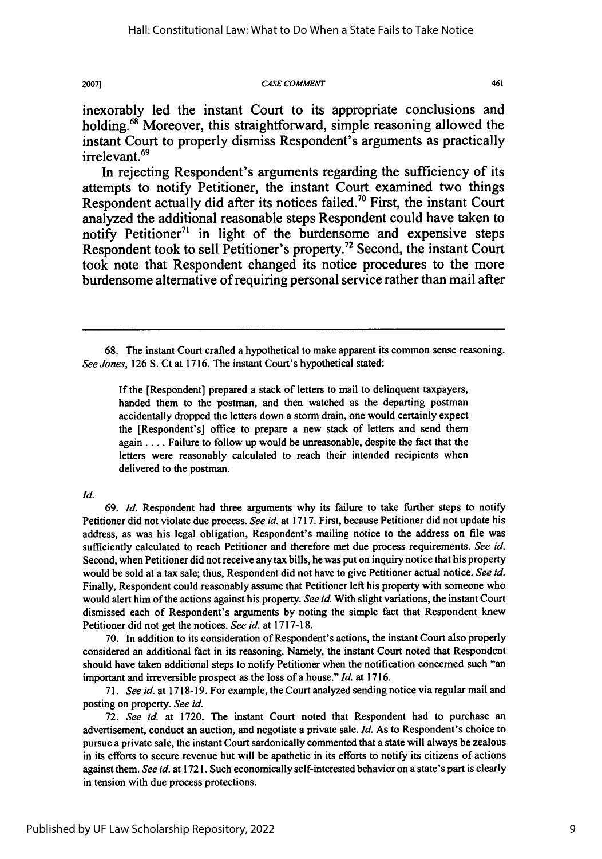#### **20071** *CASE COMMENT*

461

inexorably **led** the instant Court to its appropriate conclusions and holding.<sup>68</sup> Moreover, this straightforward, simple reasoning allowed the instant Court to properly dismiss Respondent's arguments as practically irrelevant.<sup>69</sup>

In rejecting Respondent's arguments regarding the sufficiency of its attempts to notify Petitioner, the instant Court examined two things Respondent actually did after its notices failed.<sup>70</sup> First, the instant Court analyzed the additional reasonable steps Respondent could have taken to notify Petitioner<sup>71</sup> in light of the burdensome and expensive steps Respondent took to sell Petitioner's property.<sup>72</sup> Second, the instant Court took note that Respondent changed its notice procedures to the more burdensome alternative of requiring personal service rather than mail after

If the [Respondent] prepared a stack of letters to mail to delinquent taxpayers, handed them to the postman, and then watched as the departing postman accidentally dropped the letters down a storm drain, one would certainly expect the [Respondent's] office to prepare a new stack of letters and send them again .... Failure to follow up would be unreasonable, despite the fact that the letters were reasonably calculated to reach their intended recipients when delivered to the postman.

#### *Id.*

69. *Id.* Respondent had three arguments why its failure to take further steps to notify Petitioner did not violate due process. *See id.* at 1717. First, because Petitioner did not update his address, as was his legal obligation, Respondent's mailing notice to the address on file was sufficiently calculated to reach Petitioner and therefore met due process requirements. *See id.* Second, when Petitioner did not receive any tax bills, he was put on inquiry notice that his property would be sold at a tax sale; thus, Respondent did not have to give Petitioner actual notice. *See id.* Finally, Respondent could reasonably assume that Petitioner left his property with someone who would alert him of the actions against his property. *See id.* With slight variations, the instant Court dismissed each of Respondent's arguments by noting the simple fact that Respondent knew Petitioner did not get the notices. *See id.* at 1717-18.

70. In addition to its consideration of Respondent's actions, the instant Court also properly considered an additional fact in its reasoning. Namely, the instant Court noted that Respondent should have taken additional steps to notify Petitioner when the notification concerned such "an important and irreversible prospect as the loss of a house." *Id.* at 1716.

71. *See id.* at 1718-19. For example, the Court analyzed sending notice via regular mail and posting on property. *See id.*

72. *See id.* at 1720. The instant Court noted that Respondent had to purchase an advertisement, conduct an auction, and negotiate a private sale. *Id.* As to Respondent's choice to pursue a private sale, the instant Court sardonically commented that a state will always be zealous in its efforts to secure revenue but will be apathetic in its efforts to notify its citizens of actions against them. *See id.* at 1721. Such economically self-interested behavior on a state's part is clearly in tension with due process protections.

<sup>68.</sup> The instant Court crafted a hypothetical to make apparent its common sense reasoning. *See Jones,* **126** S. Ct at 1716. The instant Court's hypothetical stated: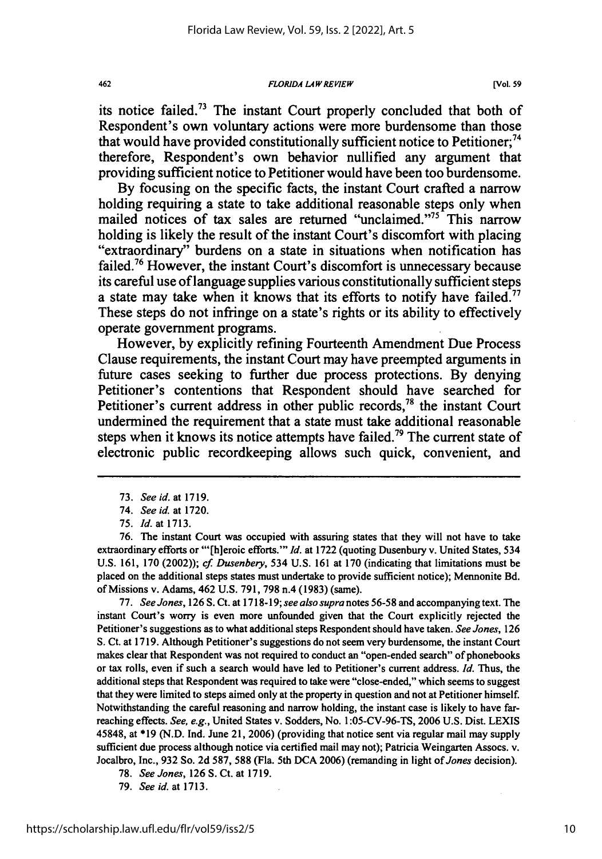#### **FLORIDA LA** *W REVIEW*

its notice failed.73 The instant Court properly concluded that both of Respondent's own voluntary actions were more burdensome than those that would have provided constitutionally sufficient notice to Petitioner;<sup>74</sup> therefore, Respondent's own behavior nullified any argument that providing sufficient notice to Petitioner would have been too burdensome.

**By** focusing on the specific facts, the instant Court crafted a narrow holding requiring a state to take additional reasonable steps only when mailed notices of tax sales are returned "unclaimed."<sup>75</sup> This narrow holding is likely the result of the instant Court's discomfort with placing "extraordinary" burdens on a state in situations when notification has failed.76 However, the instant Court's discomfort is unnecessary because its careful use of language supplies various constitutionally sufficient steps a state may take when it knows that its efforts to notify have failed.<sup>77</sup> These steps do not infringe on a state's rights or its ability to effectively operate government programs.

However, **by** explicitly refining Fourteenth Amendment Due Process Clause requirements, the instant Court may have preempted arguments in future cases seeking to further due process protections. **By** denying Petitioner's contentions that Respondent should have searched for Petitioner's current address in other public records,<sup>78</sup> the instant Court undermined the requirement that a state must take additional reasonable steps when it knows its notice attempts have failed.<sup>79</sup> The current state of electronic public recordkeeping allows such quick, convenient, and

462

76. The instant Court was occupied with assuring states that they will not have to take extraordinary efforts or "'[h]eroic efforts."" *Id.* at 1722 (quoting Dusenbury v. United States, 534 **U.S. 161, 170** (2002)); *cf Dusenbery,* 534 **U.S. 161** at **170** (indicating that limitations must be placed on the additional steps states must undertake to provide sufficient notice); Mennonite **Bd.** of Missions v. Adams, 462 **U.S. 791, 798 n.4 (1983)** (same).

**77.** *See Jones,* **126 S.** Ct. at **1718-19;** *see also supra* notes **56-58** and accompanying text. The instant Court's worry is even more unfounded given that the Court explicitly rejected the Petitioner's suggestions as to what additional steps Respondent should have taken. *See Jones,* **126 S.** Ct. at **1719.** Although Petitioner's suggestions do not seem very burdensome, the instant Court makes clear that Respondent was not required to conduct an "open-ended search" of phonebooks or tax rolls, even if such a search would have led to Petitioner's current address. *Id.* Thus, the additional steps that Respondent was required to take were "close-ended," which seems to suggest that they were limited to steps aimed only at the property in question and not at Petitioner himself. Notwithstanding the careful reasoning and narrow holding, the instant case is likely to have farreaching effects. *See, e.g.,* United States v. Sodders, No. **1:05-CV-96-TS, 2006 U.S.** Dist. LEXIS 45848, at **\*19 (N.D. Ind.** June 21, **2006)** (providing that notice sent via regular mail may supply sufficient due process although notice via certified mail may not); Patricia Weingarten Assocs. v. Jocalbro, Inc., **932** So. **2d 587, 588** (Fla. 5th **DCA 2006)** (remanding in light of *Jones* decision).

**78.** *See Jones,* **126 S.** Ct. at **1719.**

**79.** *See id.* at **1713.**

<sup>73.</sup> *See id.* at 1719.

<sup>74.</sup> *See id.* at 1720.

<sup>75.</sup> *Id.* at 1713.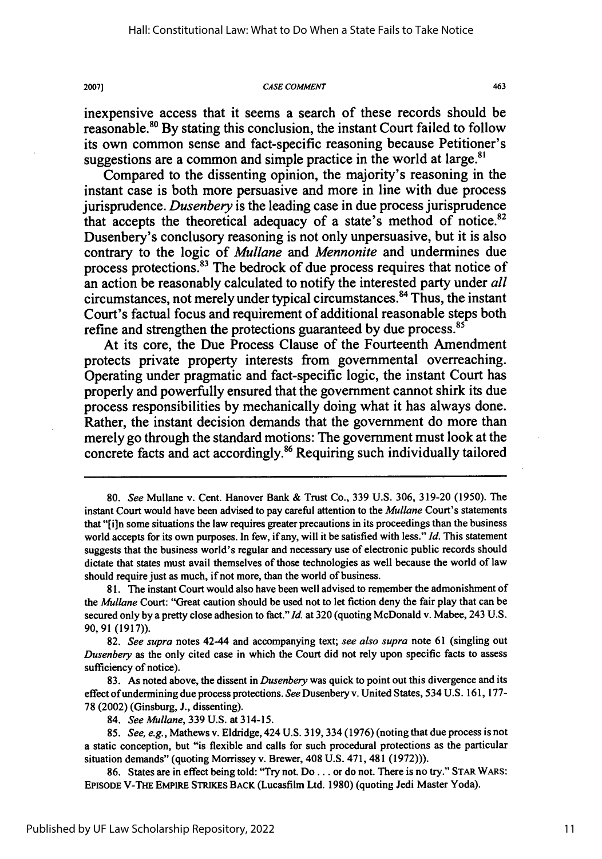#### **CASE COMMENT**

20071

inexpensive access that it seems a search of these records should be reasonable."0 **By** stating this conclusion, the instant Court failed to follow its own common sense and fact-specific reasoning because Petitioner's suggestions are a common and simple practice in the world at large. $8$ 

Compared to the dissenting opinion, the majority's reasoning in the instant case is both more persuasive and more in line with due process jurisprudence. *Dusenbery* is the leading case in due process jurisprudence that accepts the theoretical adequacy of a state's method of notice. $82$ Dusenbery's conclusory reasoning is not only unpersuasive, but it is also contrary to the logic of *Mullane and Mennonite* and undermines due process protections.<sup>83</sup> The bedrock of due process requires that notice of an action be reasonably calculated to notify the interested party under *all* circumstances, not merely under typical circumstances. 4 Thus, the instant Court's factual focus and requirement of additional reasonable steps both refine and strengthen the protections guaranteed by due process.<sup>85</sup>

At its core, the Due Process Clause of the Fourteenth Amendment protects private property interests from governmental overreaching. Operating under pragmatic and fact-specific logic, the instant Court has properly and powerfully ensured that the government cannot shirk its due process responsibilities **by** mechanically doing what it has always done. Rather, the instant decision demands that the government do more than merely go through the standard motions: The government must look at the concrete facts and act accordingly.86 Requiring such individually tailored

463

**<sup>80.</sup>** *See* Mullane v. Cent. Hanover Bank **&** Trust Co., **339 U.S.** 306, **319-20 (1950).** The instant Court would have been advised to pay careful attention to the *Mullane* Court's statements that **"[i]n** some situations the law requires greater precautions in its proceedings than the business world accepts for its own purposes. In few, if any, will it be satisfied with less." *Id.* This statement suggests that the business world's regular and necessary use of electronic public records should dictate that states must avail themselves of those technologies as well because the world of law should require just as much, if not more, than the world of business.

**<sup>81.</sup>** The instant Court would also have been well advised to remember the admonishment of *the Mullane* Court: "Great caution should be used not to let fiction deny the fair play that can be secured only **by** a pretty close adhesion to fact." *Id.* at **320** (quoting McDonald v. Mabee, 243 **U.S. 90, 91** (1917)).

**<sup>82.</sup>** *See supra* notes 42-44 and accompanying text; *see also supra* note **61** (singling out *Dusenbery* as the only cited case in which the Court did not rely upon specific facts to assess sufficiency of notice).

**<sup>83.</sup>** As noted above, the dissent in *Dusenbery* was quick to point out this divergence and its effect of undermining due process protections. See Dusenbery v. United States, 534 **U.S. 161, 177- 78** (2002) (Ginsburg, **J.,** dissenting).

<sup>84.</sup> *See Mullane,* **339 U.S.** at 314-15.

*<sup>85.</sup> See, e.g.,* Mathews v. Eldridge, 424 **U.S. 319,334 (1976)** (noting that due process is not a static conception, but "is flexible and calls for such procedural protections as the particular situation demands" (quoting Morrissey v. Brewer, 408 **U.S.** 471, 481 **(1972))).**

**<sup>86.</sup>** States are in effect being told: "Try not. Do **...** or do not. There is no try." **STAR** WARS: **EPISODE V-THE EMPIRE STRIKES** BACK (Lucasfilm Ltd. **1980)** (quoting Jedi Master Yoda).